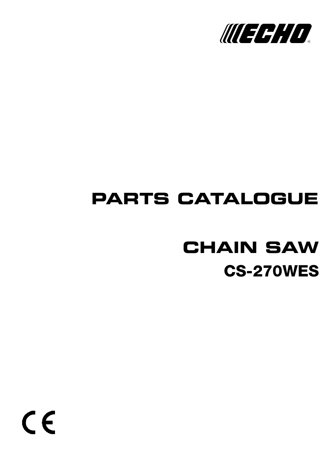

# **PARTS CATALOGUE**

# **CS-270WES CHAIN SAW**

 $c \in$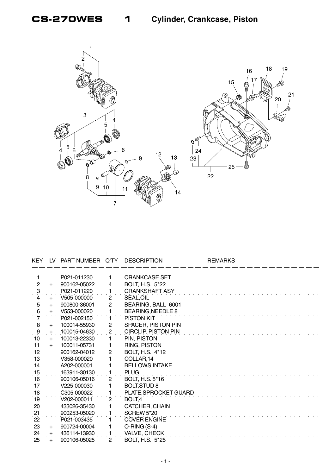

| KEY.                |           | LV PART NUMBER Q'TY DESCRIPTION |                |                            | <b>REMARKS</b> |
|---------------------|-----------|---------------------------------|----------------|----------------------------|----------------|
|                     |           |                                 |                |                            |                |
|                     |           | P021-011230                     | 1              | <b>CRANKCASE SET</b>       |                |
| $\overline{2}$      | $+$       | 900162-05022                    | 4              | BOLT, H.S. 5*22            |                |
| $\ddot{\mathbf{3}}$ |           | P021-011220                     | 1              | <b>CRANKSHAFT ASY</b>      |                |
| 4                   | $+$       | V505-000000                     | $\overline{2}$ | SEAL, OIL                  |                |
| $\sqrt{5}$          | $+$       | 900800-36001                    | $\overline{2}$ | BEARING, BALL 6001         |                |
| $\frac{6}{7}$       | $+$       | V553-000020                     | 1              | <b>BEARING, NEEDLE 8</b>   |                |
|                     |           | P021-002150                     | 1              | PISTON KIT                 |                |
| 8                   | $+$       | 100014-55930                    | $\overline{c}$ | SPACER, PISTON PIN         |                |
| $\frac{9}{1}$       | $+$       | 100015-04630                    | $\overline{c}$ | <b>CIRCLIP, PISTON PIN</b> |                |
| 10                  | $+$       | 100013-22330                    |                | PIN, PISTON                |                |
| 11                  | $+$       | 100011-05731                    | 1              | RING, PISTON               |                |
| 12                  |           | 900162-04012                    | $\overline{2}$ | BOLT, H.S. 4*12            |                |
| 13                  |           | V358-000020                     |                | COLLAR, 14                 |                |
| 14                  |           | A202-000001                     |                | <b>BELLOWS, INTAKE</b>     |                |
| 15                  |           | 163911-30130                    | 1              | <b>PLUG</b>                |                |
| 16                  |           | 900106-05016                    | $\overline{2}$ | <b>BOLT, H.S. 5*16</b>     |                |
| 17                  |           | V225-000030                     | 1              | <b>BOLT, STUD 8</b>        |                |
| 18                  |           | C305-000022                     | 1              | PLATE, SPROCKET GUARD      |                |
| 19                  |           | V202-000011                     | $\mathbf{2}$   | BOLT <sub>,4</sub>         |                |
| 20                  |           | 433026-35430                    | 1              | CATCHER, CHAIN             |                |
| 21                  |           | 900253-05020                    |                | <b>SCREW 5*20</b>          |                |
| $\dot{22}$          |           | P021-003435                     |                | <b>COVER ENGINE</b>        |                |
| 23                  | $+$       | 900724-00004                    | 1              | $O-RING(S-4)$              |                |
| 24                  | $\pm$     | 436114-13930                    |                | VALVE, CHECK               |                |
| 25                  | $\ddot{}$ | 900106-05025                    | $\overline{2}$ | <b>BOLT, H.S. 5*25</b>     |                |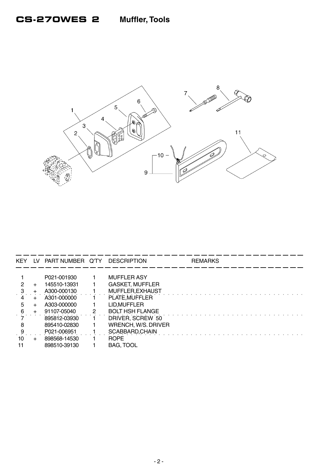

| <b>KEY</b> | LV.    | PART NUMBER Q'TY DESCRIPTION |   |                        | <b>REMARKS</b> |  |
|------------|--------|------------------------------|---|------------------------|----------------|--|
|            |        |                              |   |                        |                |  |
|            |        | P021-001930                  |   | <b>MUFFLER ASY</b>     |                |  |
|            | $\div$ | 145510-13931                 |   | <b>GASKET, MUFFLER</b> |                |  |
|            |        | A300-000130                  |   | MUFFLER, EXHAUST       |                |  |
|            |        | A301-000000                  |   | PLATE.MUFFLER          |                |  |
| 5          | +      | A303-000000                  |   | LID.MUFFLER            |                |  |
| 6          |        | 91107-05040                  | 2 | <b>BOLT HSH FLANGE</b> |                |  |
|            |        | 895812-03930                 |   | DRIVER, SCREW 50       |                |  |
| 8          |        | 895410-02830                 |   | WRENCH, W/S. DRIVER    |                |  |
|            |        | P021-006951                  |   | SCABBARD, CHAIN        |                |  |
| 10         |        | 898568-14530                 |   | <b>ROPE</b>            |                |  |
| 11         |        | 898510-39130                 |   | <b>BAG, TOOL</b>       |                |  |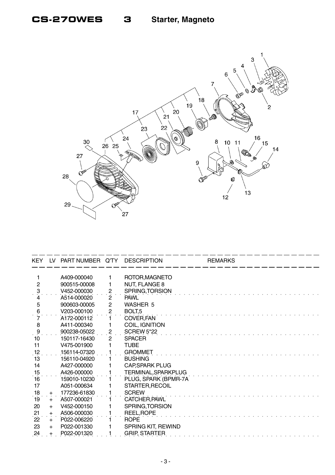

| KEY.                     | LV. | PART NUMBER Q'TY |                     | <b>DESCRIPTION</b>     | <b>REMARKS</b> |  |
|--------------------------|-----|------------------|---------------------|------------------------|----------------|--|
|                          |     | A409-000040      | 1                   | ROTOR, MAGNETO         |                |  |
| $\overline{c}$           |     | 900515-00008     | 1                   | <b>NUT, FLANGE 8</b>   |                |  |
|                          |     | V452-000030      |                     | SPRING, TORSION        |                |  |
| $\ddot{\mathbf{3}}$<br>4 |     | A514-000020      | 2<br>$\overline{2}$ | <b>PAWL</b>            |                |  |
| 5                        |     | 900603-00005     | $\overline{c}$      | WASHER 5               |                |  |
| $6 \overline{6}$         |     | V203-000100      | $\overline{c}$      | BOLT <sub>,5</sub>     |                |  |
|                          |     | A172-000112      |                     | COVER, FAN             |                |  |
| $\, 8$                   |     | A411-000340      |                     | <b>COIL, IGNITION</b>  |                |  |
|                          |     | 900238-05022     | $\overline{c}$      | <b>SCREW 5*22</b>      |                |  |
| $\frac{9}{10}$           |     | 150117-16430     | $\overline{2}$      | <b>SPACER</b>          |                |  |
| 11                       |     | V475-001900      |                     | <b>TUBE</b>            |                |  |
| .12                      |     | 156114-07320     |                     | <b>GROMMET</b>         |                |  |
| 13                       |     | 156110-04920     |                     | <b>BUSHING</b>         |                |  |
| 14                       |     | A427-000000      |                     | <b>CAP, SPARK PLUG</b> |                |  |
| 15                       |     | A426-000000      |                     | TERMINAL, SPARKPLUG    |                |  |
| 16                       |     | 159010-10230     |                     | PLUG, SPARK (BPMR-7A)  |                |  |
| 17                       |     | A051-000634      |                     | STARTER, RECOIL        |                |  |
| 18                       | $+$ | 177236-61830     |                     | <b>SCREW</b>           |                |  |
| 19                       | $+$ | A507-000021      |                     | CATCHER, PAWL          |                |  |
| 20                       | $+$ | V452-000150      |                     | SPRING, TORSION        |                |  |
| 21                       | $+$ | A506-000030      |                     | REEL, ROPE             |                |  |
| 22                       | $+$ | P022-006220      |                     | <b>ROPE</b>            |                |  |
| 23                       | $+$ | P022-001330      |                     | SPRING KIT, REWIND     |                |  |
| 24                       |     | P022-001320      |                     | <b>GRIP, STARTER</b>   |                |  |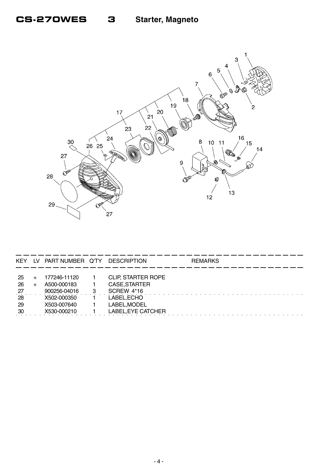

| <b>KEY</b>                               | LV PART NUMBER Q'TY                                                                      | DESCRIPTION                                                                                                   | <b>REMARKS</b> |
|------------------------------------------|------------------------------------------------------------------------------------------|---------------------------------------------------------------------------------------------------------------|----------------|
| -25<br>26<br>$^{27}$<br>28<br>-29<br>-30 | 177246-11120<br>A500-000183<br>900256-04016<br>X502-000350<br>X503-007640<br>X530-000210 | <b>CLIP, STARTER ROPE</b><br>CASE, STARTER<br>SCREW 4*16<br>LABEL, ECHO<br>LABEL, MODEL<br>LABEL, EYE CATCHER |                |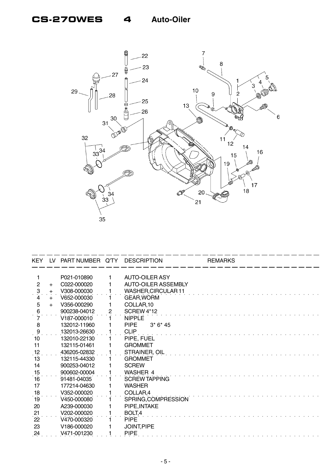# **CS-270WES 4 Auto-Oiler**



| <b>KEY</b>          | LV         | PART NUMBER Q'TY DESCRIPTION |                |                            | <b>REMARKS</b> |  |
|---------------------|------------|------------------------------|----------------|----------------------------|----------------|--|
| 1                   |            | P021-010890                  | 1              | <b>AUTO-OILER ASY</b>      |                |  |
| $\overline{c}$      | $+$        | C022-000020                  |                | <b>AUTO-OILER ASSEMBLY</b> |                |  |
|                     |            | V308-000030                  |                | <b>WASHER, CIRCULAR 11</b> |                |  |
| $\ddot{\cdot}$<br>4 | $+$<br>$+$ | V652-000030                  |                | <b>GEAR, WORM</b>          |                |  |
| 5                   | $+$        | V356-000290                  |                | COLLAR, 10                 |                |  |
| 6                   |            | 900238-04012                 | $\overline{2}$ | <b>SCREW 4*12</b>          |                |  |
|                     |            | V187-000010                  |                | <b>NIPPLE</b>              |                |  |
| 8                   |            | 132012-11960                 |                | <b>PIPE</b><br>$3*6*45$    |                |  |
|                     |            | 132013-26630                 |                | <b>CLIP</b>                |                |  |
| $\frac{9}{10}$      |            | 132010-22130                 |                | PIPE, FUEL                 |                |  |
| 11                  |            | 132115-01461                 |                | <b>GROMMET</b>             |                |  |
| .12                 |            | 436205-02832                 |                | STRAINER, OIL              |                |  |
| 13                  |            | 132115-44330                 |                | <b>GROMMET</b>             |                |  |
| 14                  |            | 900253-04012                 |                | <b>SCREW</b>               |                |  |
| 15                  |            | 900602-00004                 |                | WASHER 4                   |                |  |
| 16                  |            | 91481-04035                  |                | SCREW TAPPING              |                |  |
| 17                  |            | 177214-04630                 |                | <b>WASHER</b>              |                |  |
| 18                  |            | V352-000020                  |                | COLLAR,4                   |                |  |
| 19                  |            | V450-000080                  |                | SPRING, COMPRESSION        |                |  |
| 20                  |            | A239-000030                  |                | PIPE, INTAKE               |                |  |
| $\frac{21}{22}$     |            | V202-000020                  |                | BOLT,4                     |                |  |
|                     |            | V470-000320                  |                | <b>PIPE</b>                |                |  |
| 23                  |            | V186-000020                  |                | JOINT, PIPE                |                |  |
| $^{24}$             |            | V471-001230                  |                | <b>PIPE</b>                |                |  |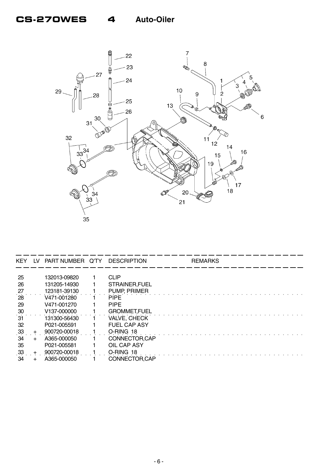# **CS-270WES 4 Auto-Oiler**



| <b>KEY</b> | LV.   | PART NUMBER Q'TY         | <b>DESCRIPTION</b>  | <b>REMARKS</b> |  |
|------------|-------|--------------------------|---------------------|----------------|--|
|            |       |                          |                     |                |  |
| 25         |       | 132013-09820             | <b>CLIP</b>         |                |  |
| 26         |       | 131205-14930             | STRAINER, FUEL      |                |  |
| 27         |       | 123181-39130             | PUMP, PRIMER        |                |  |
| 28         |       | V471-001280              | <b>PIPE</b>         |                |  |
| 29         |       | V471-001270              | <b>PIPE</b>         |                |  |
| 30         |       | V <sub>137</sub> -000000 | <b>GROMMET,FUEL</b> |                |  |
| 31         |       | 131300-56430             | VALVE, CHECK        |                |  |
| 32         |       | P021-005591              | <b>FUEL CAP ASY</b> |                |  |
| 33         | $\pm$ | 900720-00018             | O-RING 18           |                |  |
| 34         |       | A365-000050              | CONNECTOR, CAP      |                |  |
| 35         |       | P021-005581              | OIL CAP ASY         |                |  |
| 33         |       | 900720-00018             | O-RING 18           |                |  |
| 34         |       | A365-000050              | CONNECTOR, CAP      |                |  |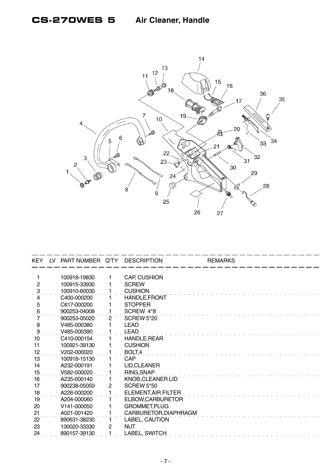

|                 | KEY LV PART NUMBER Q'TY |                | <b>DESCRIPTION</b>         | <b>REMARKS</b> |  |
|-----------------|-------------------------|----------------|----------------------------|----------------|--|
| 1               | 100918-19830            | 1              | <b>CAP, CUSHION</b>        |                |  |
| $\overline{2}$  | 100915-33930            | 1              | <b>SCREW</b>               |                |  |
| $\ddot{\cdot}$  | 100910-60030            |                | <b>CUSHION</b>             |                |  |
|                 | C400-000200             |                | HANDLE, FRONT              |                |  |
| 5               | C617-000200             |                | <b>STOPPER</b>             |                |  |
| 6               | 900253-04008            |                | SCREW 4*8                  |                |  |
|                 | 900253-05020            | $\overline{2}$ | SCREW 5*20                 |                |  |
| 8               | V485-000380             |                | <b>LEAD</b>                |                |  |
| $\ddot{\theta}$ | V485-000390             |                | LEAD                       |                |  |
| 10              | C410-000154             |                | HANDLE, REAR               |                |  |
| 11              | 100921-39130            |                | <b>CUSHION</b>             |                |  |
| 12              | V202-000020             |                | BOLT,4                     |                |  |
| 13              | 100918-15130            |                | CAP                        |                |  |
| 14              | A232-000191             |                | LID, CLEANER               |                |  |
| 15              | V582-000020             |                | RING, SNAP                 |                |  |
| 16              | A235-000140             |                | KNOB, CLEANER LID          |                |  |
| 17              | 900238-05050            | 2              | <b>SCREW 5*50</b>          |                |  |
| 18              | A226-000200             |                | <b>ELEMENT, AIR FILTER</b> |                |  |
| 19              | A204-000060             |                | ELBOW, CARBURETOR          |                |  |
| 20              | V141-000050             |                | <b>GROMMET, PLUG</b>       |                |  |
| 21              | A021-001420             |                | CARBURETOR, DIAPHRAGM      |                |  |
| 22              | 890631-38230            |                | LABEL, CAUTION             |                |  |
| 23              | 130020-33330            | $\overline{c}$ | <b>NUT</b>                 |                |  |
| $^{24}$         | 890157-39130            |                | LABEL, SWITCH              |                |  |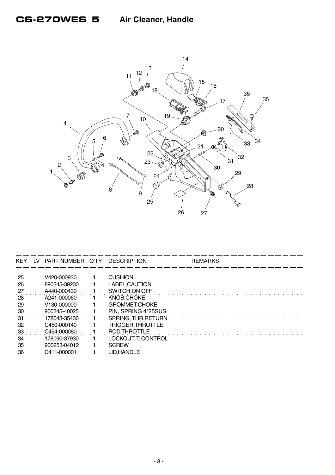

| <b>KEY</b> | LV. | PART NUMBER Q'TY DESCRIPTION |                      | <b>REMARKS</b> |
|------------|-----|------------------------------|----------------------|----------------|
|            |     |                              |                      |                |
| 25         |     | V420-000930                  | <b>CUSHION</b>       |                |
| 26         |     | 890345-39230                 | LABEL, CAUTION       |                |
| 27         |     | A440-000430                  | SWITCH, ON OFF       |                |
| 28         |     | A241-000060                  | KNOB, CHOKE          |                |
| 29         |     | V <sub>130</sub> -000000     | <b>GROMMET.CHOKE</b> |                |
| 30         |     | 900345-40025                 | PIN, SPRING 4*25SUS  |                |
| 31         |     | 178043-35430                 | SPRING, THR RETURN   |                |
| 32         |     | C450-000140                  | TRIGGER, THROTTLE    |                |
| 33         |     | C454-000080                  | ROD, THROTTLE        |                |
| 34         |     | 178090-37930                 | LOCKOUT, T. CONTROL  |                |
| 35         |     | 900253-04012                 | <b>SCREW</b>         |                |
| 36         |     | C411-000001                  | LID.HANDLE           |                |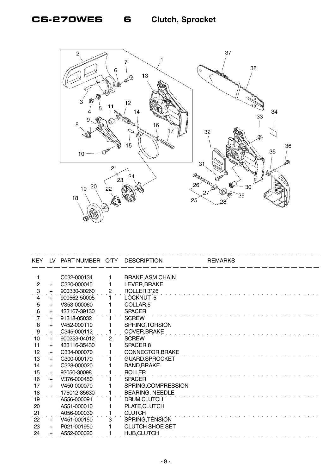

| <b>KEY</b>          | LV  | PART NUMBER Q'TY         |                | <b>DESCRIPTION</b>      | <b>REMARKS</b> |
|---------------------|-----|--------------------------|----------------|-------------------------|----------------|
|                     |     |                          |                |                         |                |
| 1                   |     | C032-000134              |                | <b>BRAKE, ASM CHAIN</b> |                |
| $\overline{2}$      | $+$ | C320-000045              |                | LEVER, BRAKE            |                |
| $\ddot{\mathrm{3}}$ | $+$ | 900330-30260             | 2              | ROLLER 3*26             |                |
| 4                   | $+$ | 900562-50005             |                | LOCKNUT 5               |                |
| 5                   | $+$ | V353-000060              |                | COLLAR <sub>,5</sub>    |                |
| 6                   | $+$ | 433167-39130             |                | <b>SPACER</b>           |                |
| 7                   | $+$ | 91318-05032              |                | <b>SCREW</b>            |                |
| 8                   | $+$ | V452-000110              |                | SPRING, TORSION         |                |
| $\frac{9}{10}$      | $+$ | C345-000112              |                | COVER, BRAKE            |                |
|                     | $+$ | 900253-04012             | $\overline{2}$ | <b>SCREW</b>            |                |
| 11                  | $+$ | 433116-35430             |                | SPACER <sub>8</sub>     |                |
| 12                  | $+$ | C334-000070              |                | CONNECTOR, BRAKE        |                |
| 13                  | $+$ | C <sub>300</sub> -000170 |                | <b>GUARD, SPROCKET</b>  |                |
| 14                  | $+$ | C328-000020              |                | <b>BAND, BRAKE</b>      |                |
| 15                  | $+$ | 93050-30098              |                | <b>ROLLER</b>           |                |
| $\overline{16}$     | $+$ | V376-000450              |                | <b>SPACER</b>           |                |
| 17                  | $+$ | V450-000070              |                | SPRING, COMPRESSION     |                |
| 18                  |     | 175012-35630             |                | <b>BEARING, NEEDLE</b>  |                |
| 19                  |     | A556-000091              |                | DRUM, CLUTCH            |                |
| 20                  |     | A551-000010              |                | PLATE, CLUTCH           |                |
| 21                  |     | A056-000030              |                | <b>CLUTCH</b>           |                |
| 22                  | $+$ | V451-000150              | 3              | SPRING, TENSION         |                |
| 23                  | $+$ | P021-001950              |                | <b>CLUTCH SHOE SET</b>  |                |
| 24                  |     | A552-000020              |                | <b>HUB, CLUTCH</b>      |                |
|                     |     |                          |                |                         |                |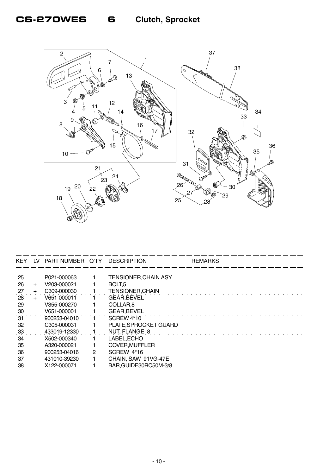# **CS-270WES 6 Clutch, Sprocket**



| <b>KEY</b> | LV.   | PART NUMBER Q'TY DESCRIPTION |                             | <b>REMARKS</b> |
|------------|-------|------------------------------|-----------------------------|----------------|
|            |       |                              |                             |                |
| 25         |       | P021-000063                  | <b>TENSIONER, CHAIN ASY</b> |                |
| 26         | $+$   | V203-000021                  | BOLT <sub>.5</sub>          |                |
| 27         | $+$   | C309-000030                  | <b>TENSIONER, CHAIN</b>     |                |
| 28         | $\pm$ | V651-000011                  | <b>GEAR.BEVEL</b>           |                |
| 29         |       | V355-000270                  | COLLAR <sub>,8</sub>        |                |
| 30         |       | V651-000001                  | <b>GEAR, BEVEL</b>          |                |
| 31         |       | 900253-04010                 | <b>SCREW 4*10</b>           |                |
| 32         |       | C305-000031                  | PLATE, SPROCKET GUARD       |                |
| 33         |       | 433019-12330                 | <b>NUT, FLANGE 8</b>        |                |
| 34         |       | X502-000340                  | LABEL, ECHO                 |                |
| 35         |       | A320-000021                  | <b>COVER, MUFFLER</b>       |                |
| 36         |       | 900253-04016                 | SCREW 4*16                  |                |
| 37         |       | 431010-39230                 | CHAIN, SAW 91VG-47E         |                |
| 38         |       | X122-000071                  | BAR, GUIDE30RC50M-3/8       |                |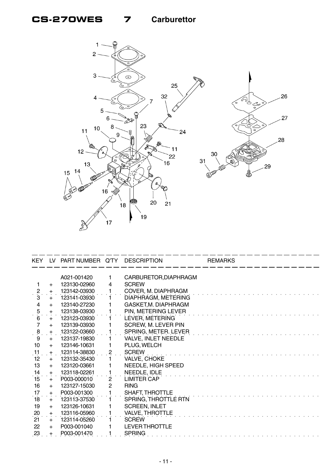# **CS-270WES 7 Carburettor**



|                     |     | KEY LV PART NUMBER Q'TY DESCRIPTION |                |                            | <b>REMARKS</b> |
|---------------------|-----|-------------------------------------|----------------|----------------------------|----------------|
|                     |     | A021-001420                         | 1.             | CARBURETOR, DIAPHRAGM      |                |
| 1.                  | $+$ | 123130-02960                        | 4              | <b>SCREW</b>               |                |
| <u>۽</u>            | $+$ | 123142-03930                        |                | COVER, M. DIAPHRAGM        |                |
| 3                   | $+$ | 123141-03930                        |                | DIAPHRAGM, METERING        |                |
| $\overline{4}$      | $+$ | 123140-27230                        | 1.             | GASKET, M. DIAPHRAGM       |                |
| $\frac{5}{6}$       | $+$ | 123138-03930                        | 1              | PIN, METERING LEVER        |                |
|                     | $+$ | 123123-03930                        |                | LEVER, METERING            |                |
| $\overline{7}$      | $+$ | 123139-03930                        |                | <b>SCREW, M. LEVER PIN</b> |                |
| $\ddot{\mathbf{8}}$ | $+$ | 123122-03660                        |                | SPRING, METER. LEVER       |                |
| 9                   | $+$ | 123137-19830                        |                | VALVE, INLET NEEDLE        |                |
| 10                  | $+$ | 123146-10631                        | 1              | PLUG, WELCH                |                |
| $\frac{11}{2}$      |     | + 123114-38830                      | $\overline{2}$ | <b>SCREW</b>               |                |
| 12                  | $+$ | 123132-35430                        |                | VALVE, CHOKE               |                |
| 13                  | $+$ | 123120-03661                        | 1              | NEEDLE, HIGH SPEED         |                |
| 14                  | $+$ | 123118-02261                        | 1              | NEEDLE, IDLE               |                |
| 15                  | $+$ | P003-000010                         | $\overline{2}$ | LIMITER CAP                |                |
| 16                  | $+$ | 123127-15030                        | $\overline{2}$ | <b>RING</b>                |                |
| 17                  | $+$ | P003-001300                         | 1              | SHAFT, THROTTLE            |                |
| 18                  | $+$ | 123113-37530                        | 1.             | SPRING, THROTTLE RTN       |                |
| 19                  | $+$ | 123126-10631                        | 1              | <b>SCREEN, INLET</b>       |                |
| 20                  | $+$ | 123116-05960                        |                | VALVE, THROTTLE            |                |
| 21                  | $+$ | 123114-05260                        |                | <b>SCREW</b>               |                |
| 22                  | $+$ | P003-001040                         |                | <b>LEVER THROTTLE</b>      |                |
| 23                  |     | P003-001470                         |                | <b>SPRING</b>              |                |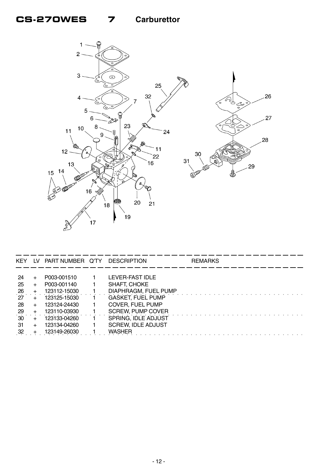# **CS-270WES 7 Carburettor**



| <b>KEY</b>   | LV.   | PART NUMBER Q'TY | <b>DESCRIPTION</b>        | <b>REMARKS</b> |
|--------------|-------|------------------|---------------------------|----------------|
|              |       |                  |                           |                |
| 24           |       | P003-001510      | LEVER-FAST IDLE           |                |
| 25           |       | P003-001140      | SHAFT, CHOKE              |                |
| 26           |       | 123112-15030     | DIAPHRAGM, FUEL PUMP      |                |
| 27           | +     | 123125-15030     | <b>GASKET, FUEL PUMP</b>  |                |
| 28           | $\pm$ | 123124-24430     | COVER, FUEL PUMP          |                |
| 29           |       | 123110-03930     | <b>SCREW, PUMP COVER</b>  |                |
| $30^{\circ}$ |       | 123133-04260     | SPRING, IDLE ADJUST       |                |
| -31          |       | 123134-04260     | <b>SCREW, IDLE ADJUST</b> |                |
| 32           |       | 123149-26030     | WASHFR                    |                |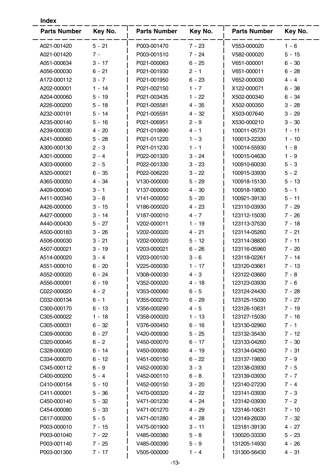| Index               |          |                     |          |                     |          |  |  |  |
|---------------------|----------|---------------------|----------|---------------------|----------|--|--|--|
| <b>Parts Number</b> | Key No.  | <b>Parts Number</b> | Key No.  | <b>Parts Number</b> | Key No.  |  |  |  |
| A021-001420         | $5 - 21$ | P003-001470         | $7 - 23$ | V553-000020         | $1 - 6$  |  |  |  |
| A021-001420         | $7 -$    | P003-001510         | $7 - 24$ | V582-000020         | $5 - 15$ |  |  |  |
| A051-000634         | $3 - 17$ | P021-000063         | $6 - 25$ | V651-000001         | $6 - 30$ |  |  |  |
| A056-000030         | $6 - 21$ | P021-001930         | $2 - 1$  | V651-000011         | $6 - 28$ |  |  |  |
| A172-000112         | $3 - 7$  | P021-001950         | $6 - 23$ | V652-000030         | $4 - 4$  |  |  |  |
| A202-000001         | $1 - 14$ | P021-002150         | $1 - 7$  | X122-000071         | $6 - 38$ |  |  |  |
| A204-000060         | $5 - 19$ | P021-003435         | $1 - 22$ | X502-000340         | $6 - 34$ |  |  |  |
| A226-000200         | $5 - 18$ | P021-005581         | 4 - 35   | X502-000350         | $3 - 28$ |  |  |  |
| A232-000191         | $5 - 14$ | P021-005591         | 4 - 32   | X503-007640         | $3 - 29$ |  |  |  |
| A235-000140         | $5 - 16$ | P021-006951         | $2 - 9$  | X530-000210         | $3 - 30$ |  |  |  |
| A239-000030         | $4 - 20$ | P021-010890         | 4 - 1    | 100011-05731        | $1 - 11$ |  |  |  |
| A241-000060         | $5 - 28$ | P021-011220         | $1 - 3$  | 100013-22330        | $1 - 10$ |  |  |  |
| A300-000130         | $2 - 3$  | P021-011230         | 1 - 1    | 100014-55930        | $1 - 8$  |  |  |  |
| A301-000000         | $2 - 4$  | P022-001320         | $3 - 24$ | 100015-04630        | $1 - 9$  |  |  |  |
| A303-000000         | $2 - 5$  | P022-001330         | $3 - 23$ | 100910-60030        | $5 - 3$  |  |  |  |
| A320-000021         | $6 - 35$ | P022-006220         | $3 - 22$ | 100915-33930        | $5 - 2$  |  |  |  |
| A365-000050         | 4 - 34   | V130-000000         | $5 - 29$ | 100918-15130        | $5 - 13$ |  |  |  |
| A409-000040         | $3 - 1$  | V137-000000         | $4 - 30$ | 100918-19830        | $5 - 1$  |  |  |  |
| A411-000340         | $3 - 8$  | V141-000050         | $5 - 20$ | 100921-39130        | 5 - 11   |  |  |  |
| A426-000000         | $3 - 15$ | V186-000020         | 4 - 23   | 123110-03930        | 7 - 29   |  |  |  |
| A427-000000         | $3 - 14$ | V187-000010         | $4 - 7$  | 123112-15030        | $7 - 26$ |  |  |  |
| A440-000430         | $5 - 27$ | V202-000011         | $1 - 19$ | 123113-37530        | $7 - 18$ |  |  |  |
| A500-000183         | $3 - 26$ | V202-000020         | 4 - 21   | 123114-05260        | $7 - 21$ |  |  |  |
| A506-000030         | $3 - 21$ | V202-000020         | 5 - 12   | 123114-38830        | $7 - 11$ |  |  |  |
| A507-000021         | $3 - 19$ | V203-000021         | $6 - 26$ | 123116-05960        | $7 - 20$ |  |  |  |
| A514-000020         | $3 - 4$  | V203-000100         | $3 - 6$  | 123118-02261        | $7 - 14$ |  |  |  |
| A551-000010         | $6 - 20$ | V225-000030         | 1 - 17   | 123120-03661        | $7 - 13$ |  |  |  |
| A552-000020         | $6 - 24$ | V308-000030         | $4 - 3$  | 123122-03660        | $7 - 8$  |  |  |  |
| A556-000091         | $6 - 19$ | V352-000020         | $4 - 18$ | 123123-03930        | $7 - 6$  |  |  |  |
| C022-000020         | $4 - 2$  | V353-000060         | $6 - 5$  | 123124-24430        | 7 - 28   |  |  |  |
| C032-000134         | $6 - 1$  | V355-000270         | $6 - 29$ | 123125-15030        | $7 - 27$ |  |  |  |
| C300-000170         | $6 - 13$ | V356-000290         | 4 - 5    | 123126-10631        | $7 - 19$ |  |  |  |
| C305-000022         | $1 - 18$ | V358-000020         | $1 - 13$ | 123127-15030        | $7 - 16$ |  |  |  |
| C305-000031         | $6 - 32$ | V376-000450         | $6 - 16$ | 123130-02960        | $7 - 1$  |  |  |  |
| C309-000030         | $6 - 27$ | V420-000930         | $5 - 25$ | 123132-35430        | 7 - 12   |  |  |  |
| C320-000045         | $6 - 2$  | V450-000070         | 6 - 17   | 123133-04260        | 7 - 30   |  |  |  |
| C328-000020         | 6 - 14   | V450-000080         | 4 - 19   | 123134-04260        | 7 - 31   |  |  |  |
| C334-000070         | $6 - 12$ | V451-000150         | $6 - 22$ | 123137-19830        | $7 - 9$  |  |  |  |
| C345-000112         | $6 - 9$  | V452-000030         | $3 - 3$  | 123138-03930        | $7 - 5$  |  |  |  |
| C400-000200         | $5 - 4$  | V452-000110         | $6 - 8$  | 123139-03930        | $7 - 7$  |  |  |  |
| C410-000154         | $5 - 10$ | V452-000150         | $3 - 20$ | 123140-27230        | $7 - 4$  |  |  |  |
| C411-000001         | $5 - 36$ | V470-000320         | $4 - 22$ | 123141-03930        | $7 - 3$  |  |  |  |
| C450-000140         | $5 - 32$ | V471-001230         | 4 - 24   | 123142-03930        | $7 - 2$  |  |  |  |
| C454-000080         | $5 - 33$ | V471-001270         | $4 - 29$ | 123146-10631        | $7 - 10$ |  |  |  |
| C617-000200         | $5 - 5$  | V471-001280         | $4 - 28$ | 123149-26030        | 7 - 32   |  |  |  |
| P003-000010         | 7 - 15   | V475-001900         | $3 - 11$ | 123181-39130        | $4 - 27$ |  |  |  |
| P003-001040         | $7 - 22$ | V485-000380         | $5 - 8$  | 130020-33330        | $5 - 23$ |  |  |  |
| P003-001140         | $7 - 25$ | V485-000390         | $5 - 9$  | 131205-14930        | $4 - 26$ |  |  |  |
| P003-001300         | $7 - 17$ | V505-000000         | $1 - 4$  | 131300-56430        | $4 - 31$ |  |  |  |
|                     |          |                     |          |                     |          |  |  |  |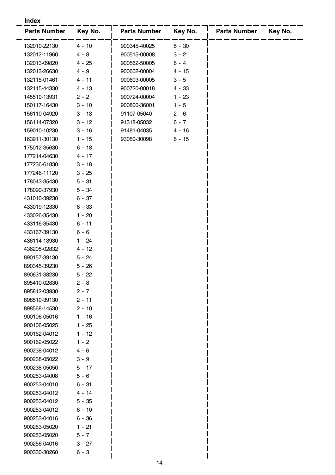#### **Index**

| <b>Parts Number</b> | Key No.  | <b>Parts Number</b> | Key No.  | <b>Parts Number</b> | Key No. |
|---------------------|----------|---------------------|----------|---------------------|---------|
| 132010-22130        | $4 - 10$ | 900345-40025        | $5 - 30$ |                     |         |
| 132012-11960        | $4 - 8$  | 900515-00008        | $3 - 2$  |                     |         |
| 132013-09820        | 4 - 25   | 900562-50005        | $6 - 4$  |                     |         |
| 132013-26630        | 4 - 9    | 900602-00004        | 4 - 15   |                     |         |
| 132115-01461        | $4 - 11$ | 900603-00005        | $3 - 5$  |                     |         |
| 132115-44330        | $4 - 13$ | 900720-00018        | $4 - 33$ |                     |         |
| 145510-13931        | $2 - 2$  | 900724-00004        | $1 - 23$ |                     |         |
| 150117-16430        | $3 - 10$ | 900800-36001        | $1 - 5$  |                     |         |
| 156110-04920        | $3 - 13$ | 91107-05040         | $2 - 6$  |                     |         |
| 156114-07320        | $3 - 12$ | 91318-05032         | 6 - 7    |                     |         |
| 159010-10230        | $3 - 16$ | 91481-04035         | 4 - 16   |                     |         |
| 163911-30130        | $1 - 15$ | 93050-30098         | $6 - 15$ |                     |         |
| 175012-35630        | $6 - 18$ |                     |          |                     |         |
| 177214-04630        | 4 - 17   |                     |          |                     |         |
| 177236-61830        | $3 - 18$ |                     |          |                     |         |
| 177246-11120        | $3 - 25$ |                     |          |                     |         |
| 178043-35430        | $5 - 31$ |                     |          |                     |         |
| 178090-37930        | 5 - 34   |                     |          |                     |         |
| 431010-39230        | $6 - 37$ |                     |          |                     |         |
| 433019-12330        | $6 - 33$ |                     |          |                     |         |
| 433026-35430        | $1 - 20$ |                     |          |                     |         |
| 433116-35430        | $6 - 11$ |                     |          |                     |         |
| 433167-39130        | $6 - 6$  |                     |          |                     |         |
| 436114-13930        | $1 - 24$ |                     |          |                     |         |
| 436205-02832        | $4 - 12$ |                     |          |                     |         |
| 890157-39130        | $5 - 24$ |                     |          |                     |         |
| 890345-39230        | $5 - 26$ |                     |          |                     |         |
| 890631-38230        | 5 - 22   |                     |          |                     |         |
| 895410-02830        | $2 - 8$  |                     |          |                     |         |
| 895812-03930        | $2 - 7$  |                     |          |                     |         |
| 898510-39130        | $2 - 11$ |                     |          |                     |         |
| 898568-14530        | $2 - 10$ |                     |          |                     |         |
| 900106-05016        | $1 - 16$ |                     |          |                     |         |
| 900106-05025        | $1 - 25$ |                     |          |                     |         |
| 900162-04012        | $1 - 12$ |                     |          |                     |         |
| 900162-05022        | $1 - 2$  |                     |          |                     |         |
| 900238-04012        | $4 - 6$  |                     |          |                     |         |
| 900238-05022        | $3 - 9$  |                     |          |                     |         |
| 900238-05050        | $5 - 17$ |                     |          |                     |         |
| 900253-04008        | $5 - 6$  |                     |          |                     |         |
| 900253-04010        | 6 - 31   |                     |          |                     |         |
| 900253-04012        | $4 - 14$ |                     |          |                     |         |
| 900253-04012        | $5 - 35$ |                     |          |                     |         |
| 900253-04012        | $6 - 10$ |                     |          |                     |         |
| 900253-04016        | $6 - 36$ |                     |          |                     |         |
| 900253-05020        | $1 - 21$ |                     |          |                     |         |
| 900253-05020        | $5 - 7$  |                     |          |                     |         |
| 900256-04016        | $3 - 27$ |                     |          |                     |         |
| 900330-30260        | $6 - 3$  |                     |          |                     |         |